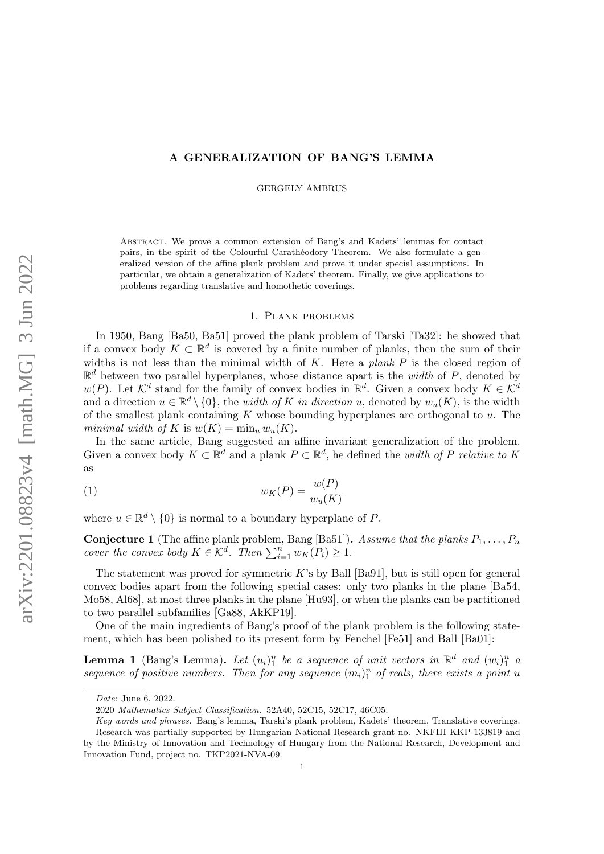## A GENERALIZATION OF BANG'S LEMMA

GERGELY AMBRUS

Abstract. We prove a common extension of Bang's and Kadets' lemmas for contact pairs, in the spirit of the Colourful Carathéodory Theorem. We also formulate a generalized version of the affine plank problem and prove it under special assumptions. In particular, we obtain a generalization of Kadets' theorem. Finally, we give applications to problems regarding translative and homothetic coverings.

## 1. Plank problems

In 1950, Bang [\[Ba50,](#page-6-0) [Ba51\]](#page-6-1) proved the plank problem of Tarski [\[Ta32\]](#page-6-2): he showed that if a convex body  $K \subset \mathbb{R}^d$  is covered by a finite number of planks, then the sum of their widths is not less than the minimal width of  $K$ . Here a plank  $P$  is the closed region of  $\mathbb{R}^d$  between two parallel hyperplanes, whose distance apart is the *width* of P, denoted by  $w(P)$ . Let  $\mathcal{K}^d$  stand for the family of convex bodies in  $\mathbb{R}^d$ . Given a convex body  $K \in \mathcal{K}^d$ and a direction  $u \in \mathbb{R}^d \setminus \{0\}$ , the *width of K in direction* u, denoted by  $w_u(K)$ , is the width of the smallest plank containing  $K$  whose bounding hyperplanes are orthogonal to  $u$ . The minimal width of K is  $w(K) = \min_u w_u(K)$ .

In the same article, Bang suggested an affine invariant generalization of the problem. Given a convex body  $K \subset \mathbb{R}^d$  and a plank  $P \subset \mathbb{R}^d$ , he defined the *width of* P relative to K as

$$
(1) \t\t wK(P) = \frac{w(P)}{w_u(K)}
$$

where  $u \in \mathbb{R}^d \setminus \{0\}$  is normal to a boundary hyperplane of P.

<span id="page-0-1"></span>**Conjecture 1** (The affine plank problem, Bang [\[Ba51\]](#page-6-1)). Assume that the planks  $P_1, \ldots, P_n$ cover the convex body  $K \in \mathcal{K}^d$ . Then  $\sum_{i=1}^n w_K(P_i) \geq 1$ .

The statement was proved for symmetric  $K$ 's by Ball [\[Ba91\]](#page-6-3), but is still open for general convex bodies apart from the following special cases: only two planks in the plane [\[Ba54,](#page-6-4) [Mo58,](#page-6-5) [Al68\]](#page-6-6), at most three planks in the plane [\[Hu93\]](#page-6-7), or when the planks can be partitioned to two parallel subfamilies [\[Ga88,](#page-6-8) [AkKP19\]](#page-6-9).

One of the main ingredients of Bang's proof of the plank problem is the following statement, which has been polished to its present form by Fenchel [\[Fe51\]](#page-6-10) and Ball [\[Ba01\]](#page-6-11):

<span id="page-0-0"></span>**Lemma 1** (Bang's Lemma). Let  $(u_i)_1^n$  be a sequence of unit vectors in  $\mathbb{R}^d$  and  $(w_i)_1^n$  a sequence of positive numbers. Then for any sequence  $(m_i)_1^n$  of reals, there exists a point u

Date: June 6, 2022.

<sup>2020</sup> Mathematics Subject Classification. 52A40, 52C15, 52C17, 46C05.

Key words and phrases. Bang's lemma, Tarski's plank problem, Kadets' theorem, Translative coverings. Research was partially supported by Hungarian National Research grant no. NKFIH KKP-133819 and by the Ministry of Innovation and Technology of Hungary from the National Research, Development and Innovation Fund, project no. TKP2021-NVA-09.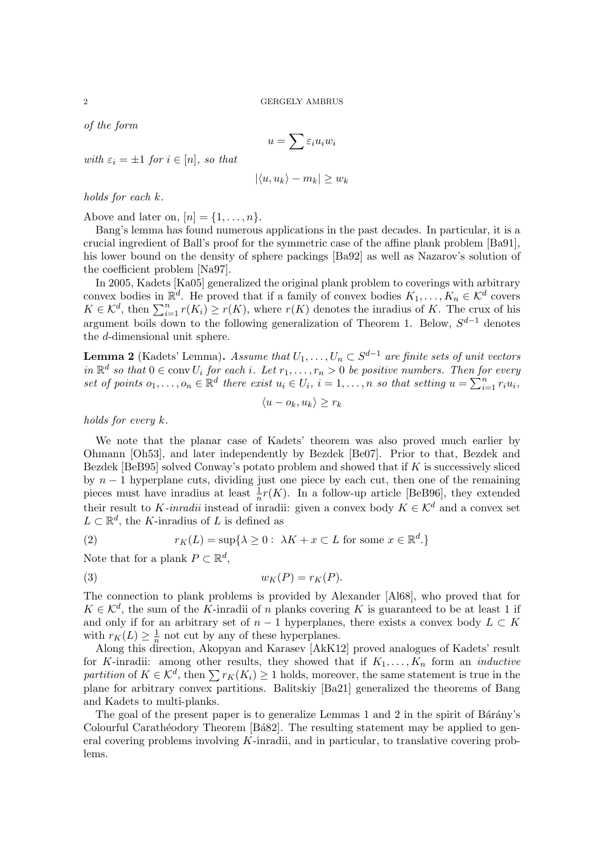of the form

$$
u = \sum \varepsilon_i u_i w_i
$$

with  $\varepsilon_i = \pm 1$  for  $i \in [n]$ , so that

$$
|\langle u, u_k \rangle - m_k| \ge w_k
$$

holds for each k.

Above and later on,  $[n] = \{1, \ldots, n\}.$ 

Bang's lemma has found numerous applications in the past decades. In particular, it is a crucial ingredient of Ball's proof for the symmetric case of the affine plank problem [\[Ba91\]](#page-6-3), his lower bound on the density of sphere packings [\[Ba92\]](#page-6-12) as well as Nazarov's solution of the coefficient problem [\[Na97\]](#page-6-13).

In 2005, Kadets [\[Ka05\]](#page-6-14) generalized the original plank problem to coverings with arbitrary convex bodies in  $\mathbb{R}^d$ . He proved that if a family of convex bodies  $K_1, \ldots, K_n \in \mathcal{K}^d$  covers  $K \in \mathcal{K}^d$ , then  $\sum_{i=1}^n r(K_i) \ge r(K)$ , where  $r(K)$  denotes the inradius of K. The crux of his argument boils down to the following generalization of Theorem [1.](#page-0-0) Below,  $S^{d-1}$  denotes the d-dimensional unit sphere.

<span id="page-1-0"></span>**Lemma 2** (Kadets' Lemma). Assume that  $U_1, \ldots, U_n \subset S^{d-1}$  are finite sets of unit vectors in  $\mathbb{R}^d$  so that  $0 \in \text{conv } U_i$  for each i. Let  $r_1, \ldots, r_n > 0$  be positive numbers. Then for every set of points  $o_1, \ldots, o_n \in \mathbb{R}^d$  there exist  $u_i \in U_i$ ,  $i = 1, \ldots, n$  so that setting  $u = \sum_{i=1}^n r_i u_i$ ,

<span id="page-1-1"></span>
$$
\langle u - o_k, u_k \rangle \ge r_k
$$

holds for every k.

We note that the planar case of Kadets' theorem was also proved much earlier by Ohmann [\[Oh53\]](#page-6-15), and later independently by Bezdek [\[Be07\]](#page-6-16). Prior to that, Bezdek and Bezdek [\[BeB95\]](#page-6-17) solved Conway's potato problem and showed that if K is successively sliced by  $n-1$  hyperplane cuts, dividing just one piece by each cut, then one of the remaining pieces must have inradius at least  $\frac{1}{n}r(K)$ . In a follow-up article [\[BeB96\]](#page-6-18), they extended their result to K-inradii instead of inradii: given a convex body  $K \in \mathcal{K}^d$  and a convex set  $L \subset \mathbb{R}^d$ , the K-inradius of L is defined as

(2) 
$$
r_K(L) = \sup\{\lambda \ge 0: \lambda K + x \subset L \text{ for some } x \in \mathbb{R}^d.\}
$$

Note that for a plank  $P \subset \mathbb{R}^d$ ,

$$
(3) \t\t wK(P) = rK(P).
$$

The connection to plank problems is provided by Alexander [\[Al68\]](#page-6-6), who proved that for  $K \in \mathcal{K}^d$ , the sum of the K-inradii of n planks covering K is guaranteed to be at least 1 if and only if for an arbitrary set of  $n-1$  hyperplanes, there exists a convex body  $L \subset K$ with  $r_K(L) \geq \frac{1}{n}$  $\frac{1}{n}$  not cut by any of these hyperplanes.

Along this direction, Akopyan and Karasev [\[AkK12\]](#page-6-19) proved analogues of Kadets' result for K-inradii: among other results, they showed that if  $K_1, \ldots, K_n$  form an *inductive* partition of  $K \in \mathcal{K}^d$ , then  $\sum r_K(K_i) \geq 1$  holds, moreover, the same statement is true in the plane for arbitrary convex partitions. Balitskiy [\[Ba21\]](#page-6-20) generalized the theorems of Bang and Kadets to multi-planks.

The goal of the present paper is to generalize Lemmas  $1$  and  $2$  in the spirit of Bárány's Colourful Carathéodory Theorem [Ba82]. The resulting statement may be applied to general covering problems involving K-inradii, and in particular, to translative covering problems.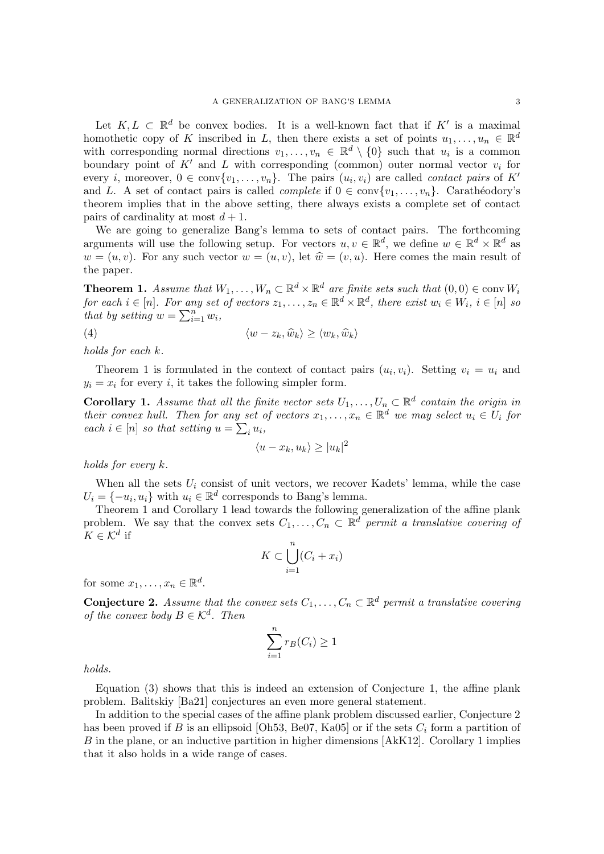Let  $K, L \subset \mathbb{R}^d$  be convex bodies. It is a well-known fact that if  $K'$  is a maximal homothetic copy of K inscribed in L, then there exists a set of points  $u_1, \ldots, u_n \in \mathbb{R}^d$ with corresponding normal directions  $v_1, \ldots, v_n \in \mathbb{R}^d \setminus \{0\}$  such that  $u_i$  is a common boundary point of  $K'$  and L with corresponding (common) outer normal vector  $v_i$  for every *i*, moreover,  $0 \in \text{conv}\{v_1, \ldots, v_n\}$ . The pairs  $(u_i, v_i)$  are called *contact pairs* of K<sup>'</sup> and L. A set of contact pairs is called *complete* if  $0 \in \text{conv}\{v_1, \ldots, v_n\}$ . Carathéodory's theorem implies that in the above setting, there always exists a complete set of contact pairs of cardinality at most  $d + 1$ .

We are going to generalize Bang's lemma to sets of contact pairs. The forthcoming arguments will use the following setup. For vectors  $u, v \in \mathbb{R}^d$ , we define  $w \in \mathbb{R}^d \times \mathbb{R}^d$  as  $w = (u, v)$ . For any such vector  $w = (u, v)$ , let  $\hat{w} = (v, u)$ . Here comes the main result of the paper.

<span id="page-2-0"></span>**Theorem 1.** Assume that  $W_1, \ldots, W_n \subset \mathbb{R}^d \times \mathbb{R}^d$  are finite sets such that  $(0,0) \in \text{conv } W_i$ for each  $i \in [n]$ . For any set of vectors  $z_1, \ldots, z_n \in \mathbb{R}^d \times \mathbb{R}^d$ , there exist  $w_i \in W_i$ ,  $i \in [n]$  so that by setting  $w = \sum_{i=1}^n w_i$ ,

$$
\langle w - z_k, \widehat{w}_k \rangle \ge \langle w_k, \widehat{w}_k \rangle
$$

holds for each k.

Theorem [1](#page-2-0) is formulated in the context of contact pairs  $(u_i, v_i)$ . Setting  $v_i = u_i$  and  $y_i = x_i$  for every i, it takes the following simpler form.

<span id="page-2-1"></span>**Corollary 1.** Assume that all the finite vector sets  $U_1, \ldots, U_n \subset \mathbb{R}^d$  contain the origin in their convex hull. Then for any set of vectors  $x_1, \ldots, x_n \in \mathbb{R}^d$  we may select  $u_i \in U_i$  for each  $i \in [n]$  so that setting  $u = \sum_i u_i$ ,

<span id="page-2-3"></span>
$$
\langle u - x_k, u_k \rangle \ge |u_k|^2
$$

holds for every k.

When all the sets  $U_i$  consist of unit vectors, we recover Kadets' lemma, while the case  $U_i = \{-u_i, u_i\}$  with  $u_i \in \mathbb{R}^d$  corresponds to Bang's lemma.

Theorem [1](#page-2-0) and Corollary [1](#page-2-1) lead towards the following generalization of the affine plank problem. We say that the convex sets  $C_1, \ldots, C_n \subset \mathbb{R}^d$  permit a translative covering of  $K \in \mathcal{K}^d$  if

$$
K \subset \bigcup_{i=1}^{n} (C_i + x_i)
$$

for some  $x_1, \ldots, x_n \in \mathbb{R}^d$ .

<span id="page-2-2"></span>**Conjecture 2.** Assume that the convex sets  $C_1, \ldots, C_n \subset \mathbb{R}^d$  permit a translative covering of the convex body  $B \in \mathcal{K}^d$ . Then

$$
\sum_{i=1}^{n} r_B(C_i) \ge 1
$$

holds.

Equation [\(3\)](#page-1-1) shows that this is indeed an extension of Conjecture [1,](#page-0-1) the affine plank problem. Balitskiy [\[Ba21\]](#page-6-20) conjectures an even more general statement.

In addition to the special cases of the affine plank problem discussed earlier, Conjecture [2](#page-2-2) has been proved if B is an ellipsoid [\[Oh53,](#page-6-15) [Be07,](#page-6-16) [Ka05\]](#page-6-14) or if the sets  $C_i$  form a partition of B in the plane, or an inductive partition in higher dimensions [\[AkK12\]](#page-6-19). Corollary [1](#page-2-1) implies that it also holds in a wide range of cases.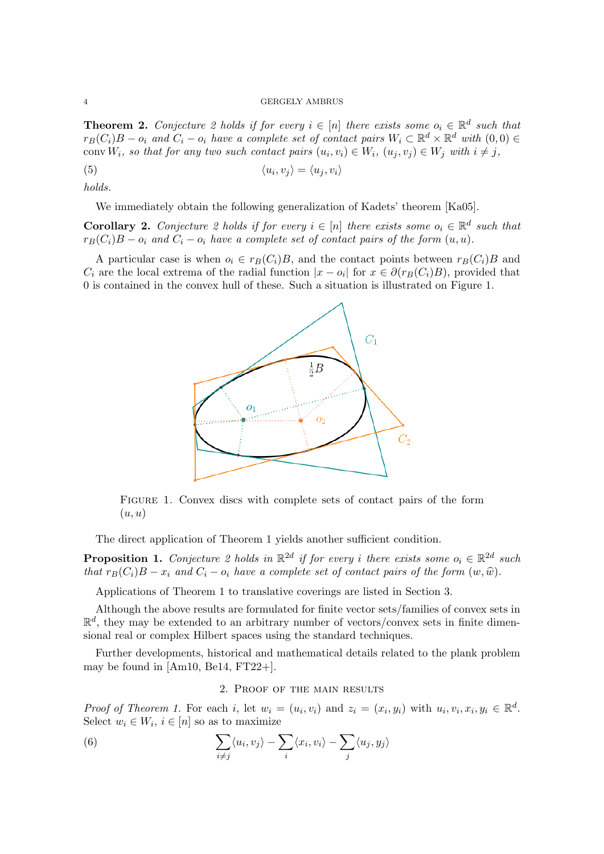<span id="page-3-2"></span>**Theorem [2](#page-2-2).** Conjecture 2 holds if for every  $i \in [n]$  there exists some  $o_i \in \mathbb{R}^d$  such that  $r_B(C_i)B - o_i$  and  $C_i - o_i$  have a complete set of contact pairs  $W_i \subset \mathbb{R}^d \times \mathbb{R}^d$  with  $(0,0) \in$ conv $W_i$ , so that for any two such contact pairs  $(u_i, v_i) \in W_i$ ,  $(u_j, v_j) \in W_j$  with  $i \neq j$ ,

$$
\langle u_i, v_j \rangle = \langle u_j, v_i \rangle
$$

holds.

We immediately obtain the following generalization of Kadets' theorem [\[Ka05\]](#page-6-14).

**Corollary [2](#page-2-2).** Conjecture 2 holds if for every  $i \in [n]$  there exists some  $o_i \in \mathbb{R}^d$  such that  $r_B(C_i)B - o_i$  and  $C_i - o_i$  have a complete set of contact pairs of the form  $(u, u)$ .

<span id="page-3-0"></span>A particular case is when  $o_i \in r_B(C_i)B$ , and the contact points between  $r_B(C_i)B$  and  $C_i$  are the local extrema of the radial function  $|x - o_i|$  for  $x \in \partial(r_B(C_i)B)$ , provided that 0 is contained in the convex hull of these. Such a situation is illustrated on Figure [1.](#page-3-0)

<span id="page-3-3"></span>

Figure 1. Convex discs with complete sets of contact pairs of the form  $(u, u)$ 

The direct application of Theorem [1](#page-2-0) yields another sufficient condition.

<span id="page-3-4"></span>**Proposition 1.** Conjecture [2](#page-2-2) holds in  $\mathbb{R}^{2d}$  if for every i there exists some  $o_i \in \mathbb{R}^{2d}$  such that  $r_B(C_i)B - x_i$  and  $C_i - o_i$  have a complete set of contact pairs of the form  $(w, \hat{w})$ .

Applications of Theorem [1](#page-2-0) to translative coverings are listed in Section [3.](#page-4-0)

Although the above results are formulated for finite vector sets/families of convex sets in  $\mathbb{R}^d$ , they may be extended to an arbitrary number of vectors/convex sets in finite dimensional real or complex Hilbert spaces using the standard techniques.

Further developments, historical and mathematical details related to the plank problem may be found in  $[Am10, Be14, FT22+]$  $[Am10, Be14, FT22+]$  $[Am10, Be14, FT22+]$  $[Am10, Be14, FT22+]$  $[Am10, Be14, FT22+]$ .

# <span id="page-3-1"></span>2. Proof of the main results

Proof of Theorem [1.](#page-2-0) For each i, let  $w_i = (u_i, v_i)$  and  $z_i = (x_i, y_i)$  with  $u_i, v_i, x_i, y_i \in \mathbb{R}^d$ . Select  $w_i \in W_i$ ,  $i \in [n]$  so as to maximize

(6) 
$$
\sum_{i \neq j} \langle u_i, v_j \rangle - \sum_i \langle x_i, v_i \rangle - \sum_j \langle u_j, y_j \rangle
$$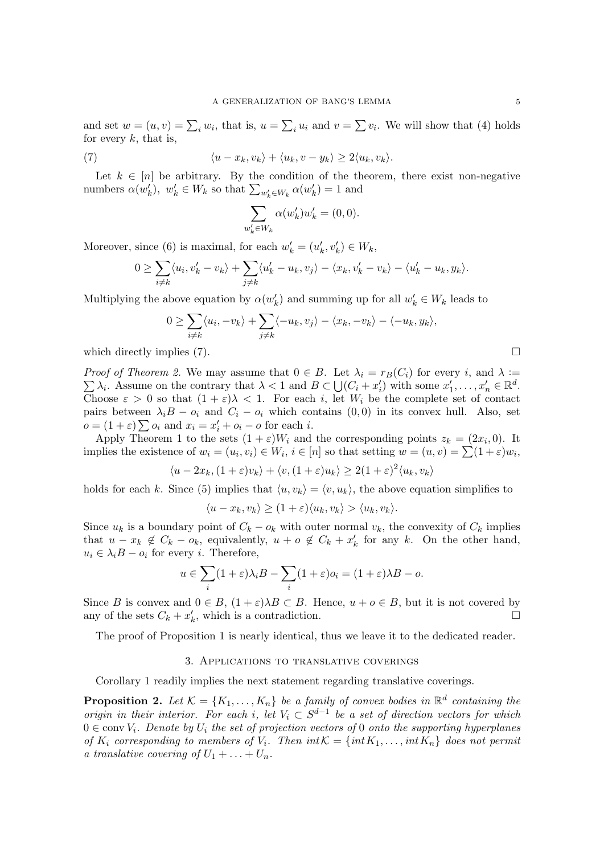and set  $w = (u, v) = \sum_i w_i$ , that is,  $u = \sum_i u_i$  and  $v = \sum v_i$ . We will show that [\(4\)](#page-2-3) holds for every  $k$ , that is,

(7) 
$$
\langle u - x_k, v_k \rangle + \langle u_k, v - y_k \rangle \geq 2 \langle u_k, v_k \rangle.
$$

Let  $k \in [n]$  be arbitrary. By the condition of the theorem, there exist non-negative numbers  $\alpha(w'_k)$ ,  $w'_k \in W_k$  so that  $\sum_{w'_k \in W_k} \alpha(w'_k) = 1$  and

<span id="page-4-1"></span>
$$
\sum_{w'_k \in W_k} \alpha(w'_k) w'_k = (0,0).
$$

Moreover, since [\(6\)](#page-3-1) is maximal, for each  $w'_k = (u'_k, v'_k) \in W_k$ ,

$$
0 \geq \sum_{i \neq k} \langle u_i, v'_k - v_k \rangle + \sum_{j \neq k} \langle u'_k - u_k, v_j \rangle - \langle x_k, v'_k - v_k \rangle - \langle u'_k - u_k, y_k \rangle.
$$

Multiplying the above equation by  $\alpha(w'_k)$  and summing up for all  $w'_k \in W_k$  leads to

$$
0 \geq \sum_{i \neq k} \langle u_i, -v_k \rangle + \sum_{j \neq k} \langle -u_k, v_j \rangle - \langle x_k, -v_k \rangle - \langle -u_k, y_k \rangle,
$$

which directly implies [\(7\)](#page-4-1).  $\Box$ 

 $\sum \lambda_i$ . Assume on the contrary that  $\lambda < 1$  and  $B \subset \bigcup (C_i + x_i')$  with some  $x_1', \ldots, x_n' \in \mathbb{R}^d$ . *Proof of Theorem [2.](#page-3-2)* We may assume that  $0 \in B$ . Let  $\lambda_i = r_B(C_i)$  for every i, and  $\lambda :=$ Choose  $\varepsilon > 0$  so that  $(1 + \varepsilon)\lambda < 1$ . For each i, let  $W_i$  be the complete set of contact pairs between  $\lambda_i B - o_i$  and  $C_i - o_i$  which contains  $(0, 0)$  in its convex hull. Also, set  $o = (1 + \varepsilon) \sum o_i$  and  $x_i = x'_i + o_i - o$  for each *i*.

Apply Theorem [1](#page-2-0) to the sets  $(1 + \varepsilon)W_i$  and the corresponding points  $z_k = (2x_i, 0)$ . It implies the existence of  $w_i = (u_i, v_i) \in W_i$ ,  $i \in [n]$  so that setting  $w = (u, v) = \sum (1 + \varepsilon)w_i$ ,

$$
\langle u - 2x_k, (1 + \varepsilon)v_k \rangle + \langle v, (1 + \varepsilon)u_k \rangle \ge 2(1 + \varepsilon)^2 \langle u_k, v_k \rangle
$$

holds for each k. Since [\(5\)](#page-3-3) implies that  $\langle u, v_k \rangle = \langle v, u_k \rangle$ , the above equation simplifies to

$$
\langle u - x_k, v_k \rangle \ge (1 + \varepsilon) \langle u_k, v_k \rangle > \langle u_k, v_k \rangle.
$$

Since  $u_k$  is a boundary point of  $C_k - o_k$  with outer normal  $v_k$ , the convexity of  $C_k$  implies that  $u - x_k \notin C_k - o_k$ , equivalently,  $u + o \notin C_k + x'_k$  for any k. On the other hand,  $u_i \in \lambda_i B - o_i$  for every *i*. Therefore,

$$
u \in \sum_{i} (1+\varepsilon)\lambda_i B - \sum_{i} (1+\varepsilon)o_i = (1+\varepsilon)\lambda B - o.
$$

Since B is convex and  $0 \in B$ ,  $(1+\varepsilon)\lambda B \subset B$ . Hence,  $u + o \in B$ , but it is not covered by any of the sets  $C_k + x'_k$ , which is a contradiction.

The proof of Proposition [1](#page-3-4) is nearly identical, thus we leave it to the dedicated reader.

## 3. Applications to translative coverings

<span id="page-4-0"></span>Corollary [1](#page-2-1) readily implies the next statement regarding translative coverings.

<span id="page-4-2"></span>**Proposition 2.** Let  $\mathcal{K} = \{K_1, \ldots, K_n\}$  be a family of convex bodies in  $\mathbb{R}^d$  containing the origin in their interior. For each i, let  $V_i \subset S^{d-1}$  be a set of direction vectors for which  $0 \in \text{conv } V_i$ . Denote by  $U_i$  the set of projection vectors of 0 onto the supporting hyperplanes of  $K_i$  corresponding to members of  $V_i$ . Then  $int \mathcal{K} = \{int K_1, \ldots, int K_n\}$  does not permit a translative covering of  $U_1 + \ldots + U_n$ .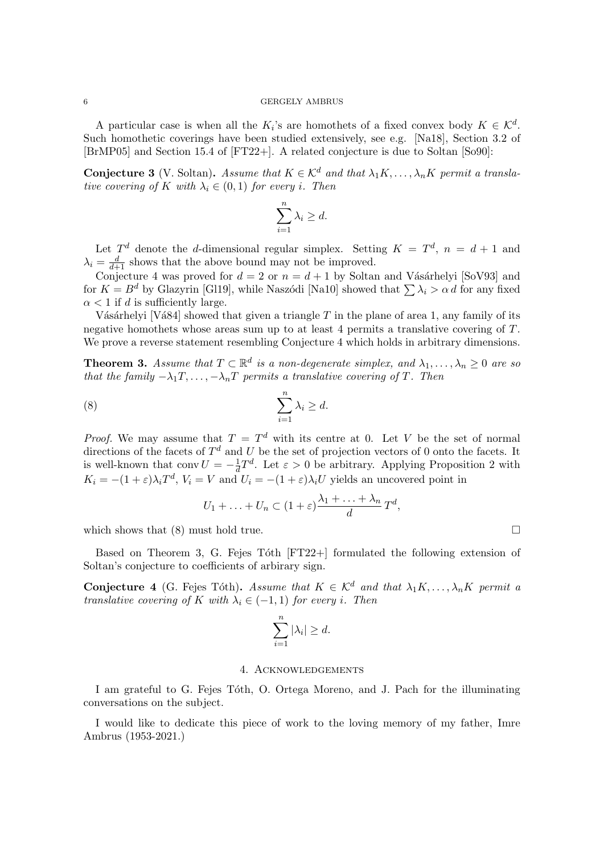### 6 GERGELY AMBRUS

A particular case is when all the  $K_i$ 's are homothets of a fixed convex body  $K \in \mathcal{K}^d$ . Such homothetic coverings have been studied extensively, see e.g. [\[Na18\]](#page-6-25), Section 3.2 of [\[BrMP05\]](#page-6-26) and Section 15.4 of [\[FT22+\]](#page-6-24). A related conjecture is due to Soltan [\[So90\]](#page-6-27):

**Conjecture 3** (V. Soltan). Assume that  $K \in \mathcal{K}^d$  and that  $\lambda_1 K, \ldots, \lambda_n K$  permit a translative covering of K with  $\lambda_i \in (0,1)$  for every i. Then

$$
\sum_{i=1}^{n} \lambda_i \ge d.
$$

Let  $T<sup>d</sup>$  denote the *d*-dimensional regular simplex. Setting  $K = T<sup>d</sup>$ ,  $n = d + 1$  and  $\lambda_i = \frac{d}{d+1}$  shows that the above bound may not be improved.

Conjecture [4](#page-5-0) was proved for  $d = 2$  or  $n = d + 1$  by Soltan and Vásárhelyi [\[SoV93\]](#page-6-28) and for  $K = B^d$  by Glazyrin [\[Gl19\]](#page-6-29), while Naszódi [\[Na10\]](#page-6-30) showed that  $\sum \lambda_i > \alpha d$  for any fixed  $\alpha$  < 1 if d is sufficiently large.

Vásárhelyi [Vá84] showed that given a triangle  $T$  in the plane of area 1, any family of its negative homothets whose areas sum up to at least 4 permits a translative covering of T. We prove a reverse statement resembling Conjecture [4](#page-5-0) which holds in arbitrary dimensions.

<span id="page-5-2"></span>**Theorem 3.** Assume that  $T \subset \mathbb{R}^d$  is a non-degenerate simplex, and  $\lambda_1, \ldots, \lambda_n \geq 0$  are so that the family  $-\lambda_1 T, \ldots, -\lambda_n T$  permits a translative covering of T. Then

(8) 
$$
\sum_{i=1}^{n} \lambda_i \geq d.
$$

*Proof.* We may assume that  $T = T<sup>d</sup>$  with its centre at 0. Let V be the set of normal directions of the facets of  $T<sup>d</sup>$  and U be the set of projection vectors of 0 onto the facets. It is well-known that conv  $U = -\frac{1}{d}$  $\frac{1}{d}T^d$ . Let  $\varepsilon > 0$  be arbitrary. Applying Proposition [2](#page-4-2) with  $K_i = -(1+\varepsilon)\lambda_i T^d$ ,  $V_i = V$  and  $U_i = -(1+\varepsilon)\lambda_i U$  yields an uncovered point in

<span id="page-5-1"></span>
$$
U_1 + \ldots + U_n \subset (1+\varepsilon)\frac{\lambda_1 + \ldots + \lambda_n}{d}T^d,
$$

which shows that  $(8)$  must hold true.

Based on Theorem [3,](#page-5-2) G. Fejes Tóth  $[FT22+]$  formulated the following extension of Soltan's conjecture to coefficients of arbirary sign.

<span id="page-5-0"></span>**Conjecture 4** (G. Fejes Tóth). Assume that  $K \in \mathcal{K}^d$  and that  $\lambda_1 K, \ldots, \lambda_n K$  permit a translative covering of K with  $\lambda_i \in (-1,1)$  for every i. Then

$$
\sum_{i=1}^{n} |\lambda_i| \ge d.
$$

### 4. Acknowledgements

I am grateful to G. Fejes T´oth, O. Ortega Moreno, and J. Pach for the illuminating conversations on the subject.

I would like to dedicate this piece of work to the loving memory of my father, Imre Ambrus (1953-2021.)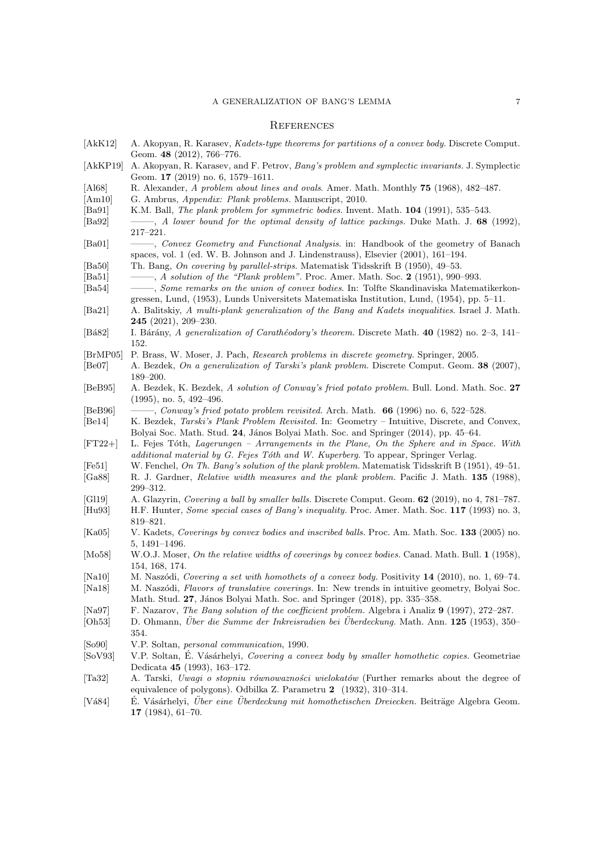#### A GENERALIZATION OF BANG'S LEMMA 7

### **REFERENCES**

- <span id="page-6-19"></span>[AkK12] A. Akopyan, R. Karasev, Kadets-type theorems for partitions of a convex body. Discrete Comput. Geom. 48 (2012), 766–776.
- <span id="page-6-9"></span>[AkKP19] A. Akopyan, R. Karasev, and F. Petrov, Bang's problem and symplectic invariants. J. Symplectic Geom. 17 (2019) no. 6, 1579–1611.
- <span id="page-6-6"></span>[Al68] R. Alexander, A problem about lines and ovals. Amer. Math. Monthly 75 (1968), 482–487.
- <span id="page-6-22"></span>[Am10] G. Ambrus, Appendix: Plank problems. Manuscript, 2010.
- <span id="page-6-3"></span>[Ba91] K.M. Ball, *The plank problem for symmetric bodies*. Invent. Math. **104** (1991), 535–543.
- <span id="page-6-12"></span>[Ba92] ——–, A lower bound for the optimal density of lattice packings. Duke Math. J. 68 (1992), 217–221.
- <span id="page-6-11"></span>[Ba01] ——–, Convex Geometry and Functional Analysis. in: Handbook of the geometry of Banach spaces, vol. 1 (ed. W. B. Johnson and J. Lindenstrauss), Elsevier (2001), 161–194.
- <span id="page-6-0"></span>[Ba50] Th. Bang, On covering by parallel-strips. Matematisk Tidsskrift B (1950), 49–53.
- <span id="page-6-4"></span><span id="page-6-1"></span>[Ba51]  $\qquad \qquad -4$  solution of the "Plank problem". Proc. Amer. Math. Soc. 2 (1951), 990–993. [Ba54] -----, Some remarks on the union of convex bodies. In: Tolfte Skandinaviska Matematikerkon-
- gressen, Lund, (1953), Lunds Universitets Matematiska Institution, Lund, (1954), pp. 5–11.
- <span id="page-6-20"></span>[Ba21] A. Balitskiy, A multi-plank generalization of the Bang and Kadets inequalities. Israel J. Math. 245 (2021), 209–230.
- <span id="page-6-21"></span>[Bá82] I. Bárány, A generalization of Carathéodory's theorem. Discrete Math. 40 (1982) no. 2–3, 141– 152.
- <span id="page-6-26"></span>[BrMP05] P. Brass, W. Moser, J. Pach, Research problems in discrete geometry. Springer, 2005.
- <span id="page-6-16"></span>[Be07] A. Bezdek, On a generalization of Tarski's plank problem. Discrete Comput. Geom. 38 (2007), 189–200. [BeB95] A. Bezdek, K. Bezdek, A solution of Conway's fried potato problem. Bull. Lond. Math. Soc. 27
- <span id="page-6-17"></span>(1995), no. 5, 492–496.
- <span id="page-6-18"></span>[BeB96] ——–, Conway's fried potato problem revisited. Arch. Math. 66 (1996) no. 6, 522–528.
- <span id="page-6-23"></span>[Be14] K. Bezdek, Tarski's Plank Problem Revisited. In: Geometry – Intuitive, Discrete, and Convex, Bolyai Soc. Math. Stud. 24, János Bolyai Math. Soc. and Springer (2014), pp. 45–64.
- <span id="page-6-24"></span>[FT22+] L. Fejes T´oth, Lagerungen – Arrangements in the Plane, On the Sphere and in Space. With additional material by G. Fejes Tóth and W. Kuperberg. To appear, Springer Verlag.
- <span id="page-6-10"></span>[Fe51] W. Fenchel, On Th. Bang's solution of the plank problem. Matematisk Tidsskrift B (1951), 49–51.
- <span id="page-6-8"></span>[Ga88] R. J. Gardner, Relative width measures and the plank problem. Pacific J. Math. 135 (1988), 299–312.
- <span id="page-6-29"></span><span id="page-6-7"></span>[Gl19] A. Glazyrin, Covering a ball by smaller balls. Discrete Comput. Geom. 62 (2019), no 4, 781–787. [Hu93] H.F. Hunter, Some special cases of Bang's inequality. Proc. Amer. Math. Soc. 117 (1993) no. 3,
- <span id="page-6-14"></span>819–821. [Ka05] V. Kadets, Coverings by convex bodies and inscribed balls. Proc. Am. Math. Soc. 133 (2005) no. 5, 1491–1496.
- <span id="page-6-5"></span>[Mo58] W.O.J. Moser, On the relative widths of coverings by convex bodies. Canad. Math. Bull. 1 (1958), 154, 168, 174.
- <span id="page-6-30"></span>[Na10] M. Naszódi, Covering a set with homothets of a convex body. Positivity 14 (2010), no. 1, 69–74.
- <span id="page-6-25"></span>[Na18] M. Naszódi, Flavors of translative coverings. In: New trends in intuitive geometry, Bolyai Soc. Math. Stud. 27, János Bolyai Math. Soc. and Springer (2018), pp. 335–358.
- <span id="page-6-13"></span>[Na97] F. Nazarov, The Bang solution of the coefficient problem. Algebra i Analiz 9 (1997), 272–287.
- <span id="page-6-15"></span>[Oh53] D. Ohmann, Über die Summe der Inkreisradien bei Überdeckung. Math. Ann. 125 (1953), 350– 354.
- <span id="page-6-27"></span>[So90] V.P. Soltan, personal communication, 1990.
- <span id="page-6-28"></span>[SoV93] V.P. Soltan, É. Vásárhelyi, Covering a convex body by smaller homothetic copies. Geometriae Dedicata 45 (1993), 163–172.
- <span id="page-6-2"></span>[Ta32] A. Tarski, Uwagi o stopniu równowazności wielokatów (Further remarks about the degree of equivalence of polygons). Odbilka Z. Parametru 2 (1932), 310–314.
- <span id="page-6-31"></span>[Vá84] É. Vásárhelyi, Über eine Überdeckung mit homothetischen Dreiecken. Beiträge Algebra Geom. 17 (1984), 61–70.